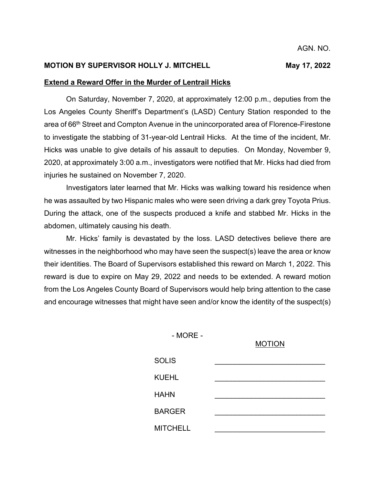## **MOTION BY SUPERVISOR HOLLY J. MITCHELL MAY 17, 2022**

## **Extend a Reward Offer in the Murder of Lentrail Hicks**

On Saturday, November 7, 2020, at approximately 12:00 p.m., deputies from the Los Angeles County Sheriff's Department's (LASD) Century Station responded to the area of 66th Street and Compton Avenue in the unincorporated area of Florence-Firestone to investigate the stabbing of 31-year-old Lentrail Hicks. At the time of the incident, Mr. Hicks was unable to give details of his assault to deputies. On Monday, November 9, 2020, at approximately 3:00 a.m., investigators were notified that Mr. Hicks had died from injuries he sustained on November 7, 2020.

Investigators later learned that Mr. Hicks was walking toward his residence when he was assaulted by two Hispanic males who were seen driving a dark grey Toyota Prius. During the attack, one of the suspects produced a knife and stabbed Mr. Hicks in the abdomen, ultimately causing his death.

Mr. Hicks' family is devastated by the loss. LASD detectives believe there are witnesses in the neighborhood who may have seen the suspect(s) leave the area or know their identities. The Board of Supervisors established this reward on March 1, 2022. This reward is due to expire on May 29, 2022 and needs to be extended. A reward motion from the Los Angeles County Board of Supervisors would help bring attention to the case and encourage witnesses that might have seen and/or know the identity of the suspect(s)

- MORE -

#### MOTION

| <b>SOLIS</b>    |  |
|-----------------|--|
| <b>KUEHL</b>    |  |
| <b>HAHN</b>     |  |
| <b>BARGER</b>   |  |
| <b>MITCHELL</b> |  |